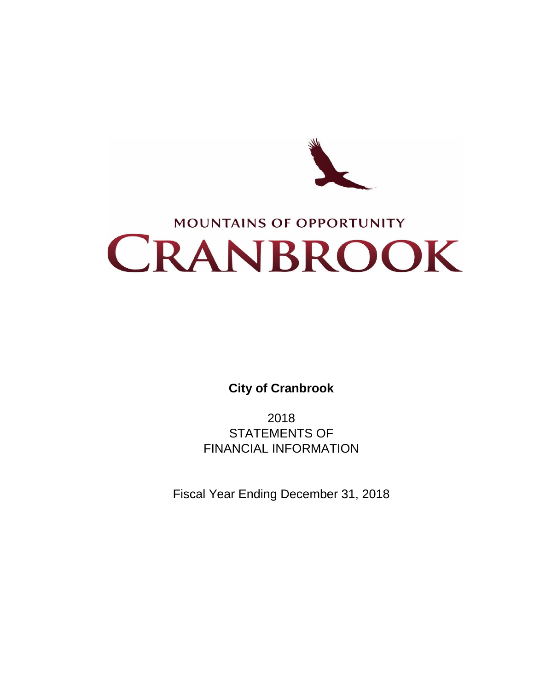

# **MOUNTAINS OF OPPORTUNITY** CRANBROOK

**City of Cranbrook**

2018 STATEMENTS OF FINANCIAL INFORMATION

Fiscal Year Ending December 31, 2018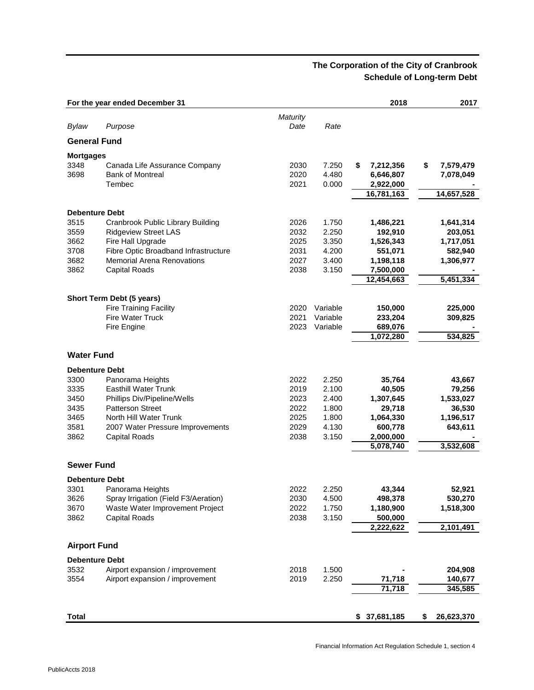# **The Corporation of the City of Cranbrook Schedule of Long-term Debt**

|                                  | For the year ended December 31                                     |                      |                         | 2018                                      | 2017                         |
|----------------------------------|--------------------------------------------------------------------|----------------------|-------------------------|-------------------------------------------|------------------------------|
| Bylaw                            | Purpose                                                            | Maturity<br>Date     | Rate                    |                                           |                              |
| <b>General Fund</b>              |                                                                    |                      |                         |                                           |                              |
|                                  |                                                                    |                      |                         |                                           |                              |
| <b>Mortgages</b><br>3348<br>3698 | Canada Life Assurance Company<br><b>Bank of Montreal</b><br>Tembec | 2030<br>2020<br>2021 | 7.250<br>4.480<br>0.000 | \$<br>7,212,356<br>6,646,807<br>2,922,000 | \$<br>7,579,479<br>7,078,049 |
|                                  |                                                                    |                      |                         | 16,781,163                                | 14,657,528                   |
|                                  |                                                                    |                      |                         |                                           |                              |
| <b>Debenture Debt</b>            |                                                                    |                      |                         |                                           |                              |
| 3515<br>3559                     | Cranbrook Public Library Building                                  | 2026<br>2032         | 1.750<br>2.250          | 1,486,221<br>192,910                      | 1,641,314                    |
| 3662                             | <b>Ridgeview Street LAS</b><br>Fire Hall Upgrade                   | 2025                 | 3.350                   | 1,526,343                                 | 203,051<br>1,717,051         |
| 3708                             | Fibre Optic Broadband Infrastructure                               | 2031                 | 4.200                   | 551,071                                   | 582,940                      |
| 3682                             | <b>Memorial Arena Renovations</b>                                  | 2027                 | 3.400                   | 1,198,118                                 | 1,306,977                    |
| 3862                             | <b>Capital Roads</b>                                               | 2038                 | 3.150                   | 7,500,000                                 |                              |
|                                  |                                                                    |                      |                         | 12,454,663                                | 5,451,334                    |
|                                  |                                                                    |                      |                         |                                           |                              |
|                                  | Short Term Debt (5 years)                                          |                      |                         |                                           |                              |
|                                  | <b>Fire Training Facility</b>                                      | 2020                 | Variable                | 150,000                                   | 225,000                      |
|                                  | <b>Fire Water Truck</b>                                            | 2021                 | Variable                | 233,204                                   | 309,825                      |
|                                  | Fire Engine                                                        | 2023                 | Variable                | 689,076                                   |                              |
|                                  |                                                                    |                      |                         | 1,072,280                                 | 534,825                      |
| <b>Water Fund</b>                |                                                                    |                      |                         |                                           |                              |
| <b>Debenture Debt</b>            |                                                                    |                      |                         |                                           |                              |
| 3300                             | Panorama Heights                                                   | 2022                 | 2.250                   | 35,764                                    | 43,667                       |
| 3335                             | <b>Easthill Water Trunk</b>                                        | 2019                 | 2.100                   | 40,505                                    | 79,256                       |
| 3450                             | Phillips Div/Pipeline/Wells                                        | 2023                 | 2.400                   | 1,307,645                                 | 1,533,027                    |
| 3435                             | <b>Patterson Street</b>                                            | 2022                 | 1.800                   | 29,718                                    | 36,530                       |
| 3465                             | North Hill Water Trunk                                             | 2025                 | 1.800                   | 1,064,330                                 | 1,196,517                    |
| 3581                             | 2007 Water Pressure Improvements                                   | 2029                 | 4.130                   | 600,778                                   | 643,611                      |
| 3862                             | <b>Capital Roads</b>                                               | 2038                 | 3.150                   | 2,000,000                                 |                              |
|                                  |                                                                    |                      |                         | 5,078,740                                 | 3,532,608                    |
| <b>Sewer Fund</b>                |                                                                    |                      |                         |                                           |                              |
| <b>Debenture Debt</b>            |                                                                    |                      |                         |                                           |                              |
|                                  |                                                                    |                      |                         |                                           |                              |
| 3301<br>3626                     | Panorama Heights<br>Spray Irrigation (Field F3/Aeration)           | 2022<br>2030         | 2.250<br>4.500          | 43,344<br>498,378                         | 52,921<br>530,270            |
| 3670                             | Waste Water Improvement Project                                    | 2022                 | 1.750                   | 1,180,900                                 | 1,518,300                    |
| 3862                             | <b>Capital Roads</b>                                               | 2038                 | 3.150                   | 500,000                                   |                              |
|                                  |                                                                    |                      |                         | 2,222,622                                 | 2,101,491                    |
| <b>Airport Fund</b>              |                                                                    |                      |                         |                                           |                              |
|                                  |                                                                    |                      |                         |                                           |                              |
| <b>Debenture Debt</b>            |                                                                    |                      | 1.500                   |                                           |                              |
| 3532<br>3554                     | Airport expansion / improvement<br>Airport expansion / improvement | 2018<br>2019         | 2.250                   | 71,718                                    | 204,908<br>140,677           |
|                                  |                                                                    |                      |                         | 71,718                                    | 345,585                      |
|                                  |                                                                    |                      |                         |                                           |                              |
| <b>Total</b>                     |                                                                    |                      |                         | \$<br>37,681,185                          | \$<br>26,623,370             |
|                                  |                                                                    |                      |                         |                                           |                              |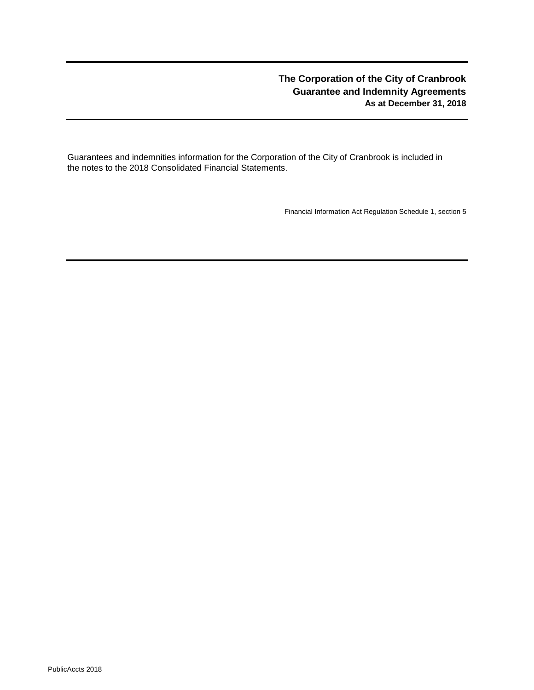# **The Corporation of the City of Cranbrook Guarantee and Indemnity Agreements As at December 31, 2018**

Guarantees and indemnities information for the Corporation of the City of Cranbrook is included in the notes to the 2018 Consolidated Financial Statements.

Financial Information Act Regulation Schedule 1, section 5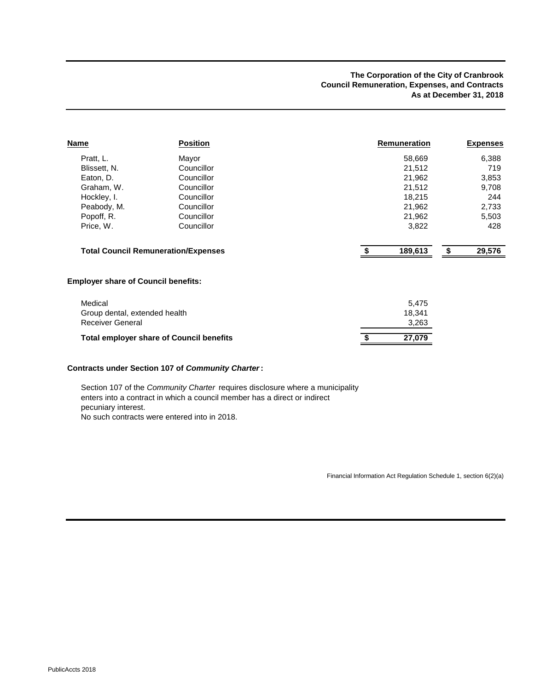#### **The Corporation of the City of Cranbrook Council Remuneration, Expenses, and Contracts As at December 31, 2018**

| <b>Name</b>                                | <b>Position</b>                                 | Remuneration  | <b>Expenses</b> |
|--------------------------------------------|-------------------------------------------------|---------------|-----------------|
| Pratt, L.                                  | Mayor                                           | 58,669        | 6,388           |
| Blissett, N.                               | Councillor                                      | 21,512        | 719             |
| Eaton, D.                                  | Councillor                                      | 21,962        | 3,853           |
| Graham, W.                                 | Councillor                                      | 21,512        | 9,708           |
| Hockley, I.                                | Councillor                                      | 18,215        | 244             |
| Peabody, M.                                | Councillor                                      | 21,962        | 2,733           |
| Popoff, R.                                 | Councillor                                      | 21,962        | 5,503           |
| Price, W.                                  | Councillor                                      | 3,822         | 428             |
|                                            | <b>Total Council Remuneration/Expenses</b>      | \$<br>189,613 | 29,576<br>\$    |
| <b>Employer share of Council benefits:</b> |                                                 |               |                 |
| Medical                                    |                                                 | 5,475         |                 |
| Group dental, extended health              |                                                 | 18,341        |                 |
| <b>Receiver General</b>                    |                                                 | 3,263         |                 |
|                                            | <b>Total employer share of Council benefits</b> | 27,079        |                 |
|                                            |                                                 |               |                 |

#### **Contracts under Section 107 of** *Community Charter***:**

Section 107 of the *Community Charter* requires disclosure where a municipality enters into a contract in which a council member has a direct or indirect pecuniary interest. No such contracts were entered into in 2018.

Financial Information Act Regulation Schedule 1, section 6(2)(a)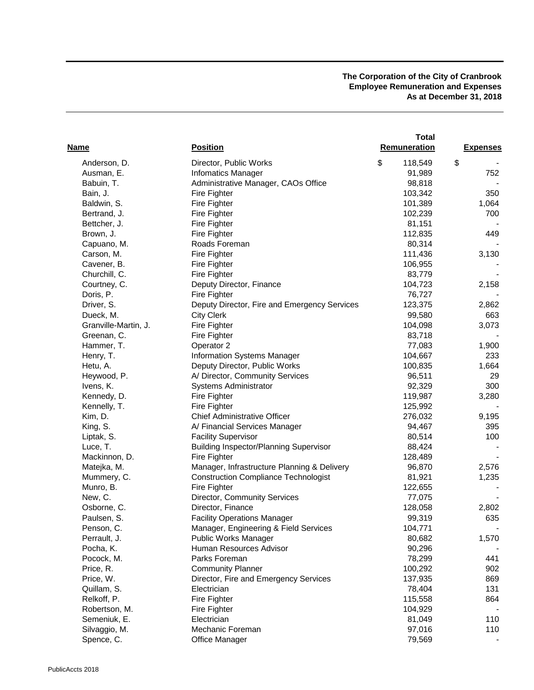#### **The Corporation of the City of Cranbrook Employee Remuneration and Expenses As at December 31, 2018**

|                      |                                               | <b>Total</b>  |                 |
|----------------------|-----------------------------------------------|---------------|-----------------|
| <b>Name</b>          | <b>Position</b>                               | Remuneration  | <b>Expenses</b> |
| Anderson, D.         | Director, Public Works                        | \$<br>118,549 | \$              |
| Ausman, E.           | <b>Infomatics Manager</b>                     | 91,989        | 752             |
| Babuin, T.           | Administrative Manager, CAOs Office           | 98,818        |                 |
| Bain, J.             | Fire Fighter                                  | 103,342       | 350             |
| Baldwin, S.          | Fire Fighter                                  | 101,389       | 1,064           |
| Bertrand, J.         | Fire Fighter                                  | 102,239       | 700             |
| Bettcher, J.         | Fire Fighter                                  | 81,151        |                 |
| Brown, J.            | Fire Fighter                                  | 112,835       | 449             |
| Capuano, M.          | Roads Foreman                                 | 80,314        |                 |
| Carson, M.           | Fire Fighter                                  | 111,436       | 3,130           |
| Cavener, B.          | Fire Fighter                                  | 106,955       |                 |
| Churchill, C.        | Fire Fighter                                  | 83,779        |                 |
| Courtney, C.         | Deputy Director, Finance                      | 104,723       | 2,158           |
| Doris, P.            | Fire Fighter                                  | 76,727        |                 |
| Driver, S.           | Deputy Director, Fire and Emergency Services  | 123,375       | 2,862           |
| Dueck, M.            | <b>City Clerk</b>                             | 99,580        | 663             |
| Granville-Martin, J. | Fire Fighter                                  | 104,098       | 3,073           |
| Greenan, C.          | <b>Fire Fighter</b>                           | 83,718        |                 |
| Hammer, T.           | Operator 2                                    | 77,083        | 1,900           |
| Henry, T.            | <b>Information Systems Manager</b>            | 104,667       | 233             |
| Hetu, A.             | Deputy Director, Public Works                 | 100,835       | 1,664           |
| Heywood, P.          | A/ Director, Community Services               | 96,511        | 29              |
| Ivens, K.            | Systems Administrator                         | 92,329        | 300             |
| Kennedy, D.          | Fire Fighter                                  | 119,987       | 3,280           |
| Kennelly, T.         | Fire Fighter                                  | 125,992       |                 |
| Kim, D.              | <b>Chief Administrative Officer</b>           | 276,032       | 9,195           |
| King, S.             | A/ Financial Services Manager                 | 94,467        | 395             |
| Liptak, S.           | <b>Facility Supervisor</b>                    | 80,514        | 100             |
| Luce, T.             | <b>Building Inspector/Planning Supervisor</b> | 88,424        |                 |
| Mackinnon, D.        | Fire Fighter                                  | 128,489       |                 |
| Matejka, M.          | Manager, Infrastructure Planning & Delivery   | 96,870        | 2,576           |
| Mummery, C.          | <b>Construction Compliance Technologist</b>   | 81,921        | 1,235           |
| Munro, B.            | <b>Fire Fighter</b>                           | 122,655       |                 |
| New, C.              | Director, Community Services                  | 77,075        |                 |
| Osborne, C.          | Director, Finance                             | 128,058       | 2,802           |
| Paulsen, S.          | <b>Facility Operations Manager</b>            | 99,319        | 635             |
| Penson, C.           | Manager, Engineering & Field Services         | 104,771       |                 |
| Perrault, J.         | Public Works Manager                          | 80,682        | 1,570           |
| Pocha, K.            | Human Resources Advisor                       | 90,296        |                 |
| Pocock, M.           | Parks Foreman                                 | 78,299        | 441             |
| Price, R.            | <b>Community Planner</b>                      | 100,292       | 902             |
| Price, W.            | Director, Fire and Emergency Services         | 137,935       | 869             |
| Quillam, S.          | Electrician                                   | 78,404        | 131             |
| Relkoff, P.          | Fire Fighter                                  | 115,558       | 864             |
| Robertson, M.        | Fire Fighter                                  | 104,929       |                 |
| Semeniuk, E.         | Electrician                                   | 81,049        | 110             |
| Silvaggio, M.        | Mechanic Foreman                              | 97,016        | 110             |
| Spence, C.           | Office Manager                                | 79,569        |                 |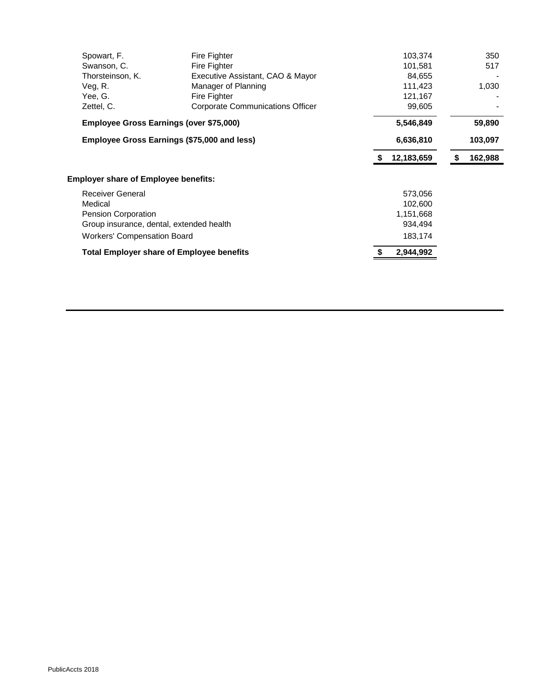| Spowart, F.                                 | Fire Fighter                                     |   | 103,374    |   | 350     |
|---------------------------------------------|--------------------------------------------------|---|------------|---|---------|
| Swanson, C.                                 | Fire Fighter                                     |   | 101,581    |   | 517     |
| Thorsteinson, K.                            | Executive Assistant, CAO & Mayor                 |   | 84,655     |   |         |
| Veg, R.                                     | Manager of Planning                              |   | 111,423    |   | 1,030   |
| Yee, G.                                     | Fire Fighter                                     |   | 121,167    |   |         |
| Zettel, C.                                  | Corporate Communications Officer                 |   | 99,605     |   |         |
| Employee Gross Earnings (over \$75,000)     |                                                  |   | 5,546,849  |   | 59,890  |
| Employee Gross Earnings (\$75,000 and less) |                                                  |   | 6,636,810  |   | 103,097 |
|                                             |                                                  | S | 12,183,659 | 5 | 162,988 |
| <b>Employer share of Employee benefits:</b> |                                                  |   |            |   |         |
| <b>Receiver General</b>                     |                                                  |   | 573,056    |   |         |
| Medical                                     |                                                  |   | 102,600    |   |         |
| Pension Corporation                         |                                                  |   | 1,151,668  |   |         |
| Group insurance, dental, extended health    |                                                  |   | 934,494    |   |         |
| <b>Workers' Compensation Board</b>          |                                                  |   | 183,174    |   |         |
|                                             | <b>Total Employer share of Employee benefits</b> |   | 2,944,992  |   |         |
|                                             |                                                  |   |            |   |         |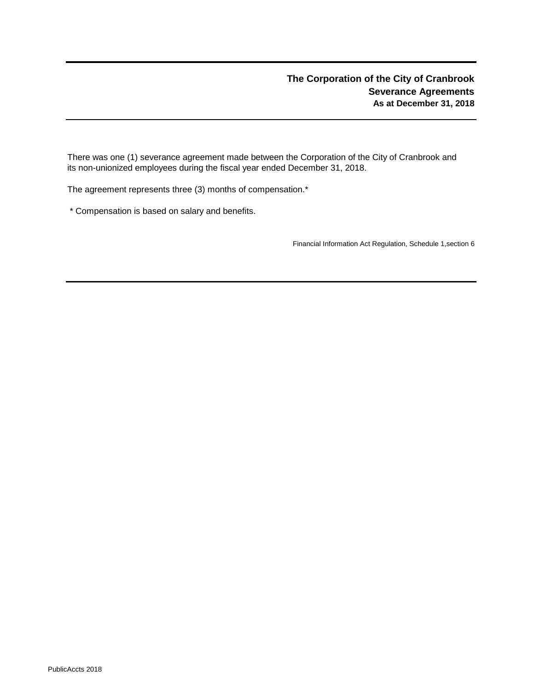There was one (1) severance agreement made between the Corporation of the City of Cranbrook and its non-unionized employees during the fiscal year ended December 31, 2018.

The agreement represents three (3) months of compensation.\*

\* Compensation is based on salary and benefits.

Financial Information Act Regulation, Schedule 1,section 6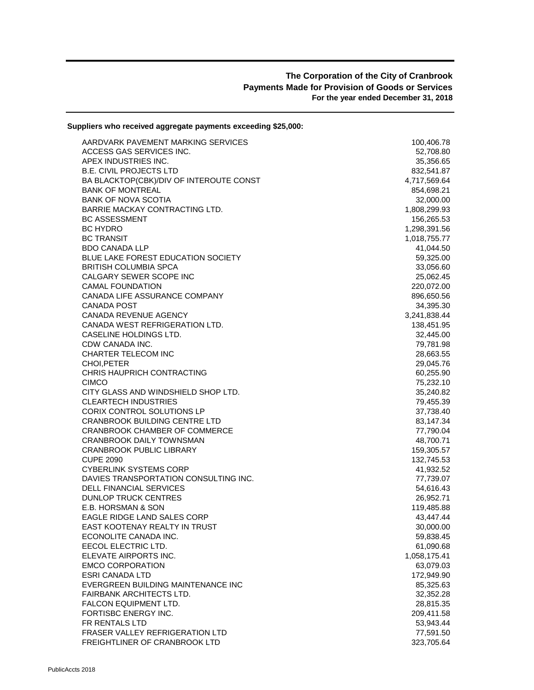## **The Corporation of the City of Cranbrook Payments Made for Provision of Goods or Services For the year ended December 31, 2018**

| Suppliers who received aggregate payments exceeding \$25,000:         |                        |
|-----------------------------------------------------------------------|------------------------|
| AARDVARK PAVEMENT MARKING SERVICES                                    | 100,406.78             |
| ACCESS GAS SERVICES INC.                                              | 52,708.80              |
| APEX INDUSTRIES INC.                                                  | 35,356.65              |
| <b>B.E. CIVIL PROJECTS LTD</b>                                        | 832,541.87             |
| BA BLACKTOP(CBK)/DIV OF INTEROUTE CONST                               | 4,717,569.64           |
| <b>BANK OF MONTREAL</b>                                               | 854,698.21             |
| <b>BANK OF NOVA SCOTIA</b>                                            | 32,000.00              |
| BARRIE MACKAY CONTRACTING LTD.                                        | 1,808,299.93           |
| <b>BC ASSESSMENT</b>                                                  | 156,265.53             |
| <b>BC HYDRO</b>                                                       | 1,298,391.56           |
| <b>BC TRANSIT</b>                                                     | 1,018,755.77           |
| <b>BDO CANADA LLP</b>                                                 | 41,044.50              |
| <b>BLUE LAKE FOREST EDUCATION SOCIETY</b>                             | 59,325.00              |
| <b>BRITISH COLUMBIA SPCA</b>                                          | 33,056.60              |
| CALGARY SEWER SCOPE INC                                               | 25,062.45              |
| <b>CAMAL FOUNDATION</b>                                               | 220,072.00             |
| CANADA LIFE ASSURANCE COMPANY                                         | 896,650.56             |
| CANADA POST                                                           | 34,395.30              |
| CANADA REVENUE AGENCY                                                 | 3,241,838.44           |
| CANADA WEST REFRIGERATION LTD.                                        | 138,451.95             |
| CASELINE HOLDINGS LTD.                                                | 32,445.00              |
| CDW CANADA INC.                                                       | 79,781.98              |
| CHARTER TELECOM INC                                                   | 28,663.55              |
| CHOI, PETER                                                           | 29,045.76              |
| CHRIS HAUPRICH CONTRACTING                                            | 60,255.90              |
| <b>CIMCO</b>                                                          | 75,232.10              |
| CITY GLASS AND WINDSHIELD SHOP LTD.                                   | 35,240.82              |
| <b>CLEARTECH INDUSTRIES</b>                                           | 79,455.39              |
| CORIX CONTROL SOLUTIONS LP                                            | 37,738.40              |
| <b>CRANBROOK BUILDING CENTRE LTD</b><br>CRANBROOK CHAMBER OF COMMERCE | 83,147.34              |
| CRANBROOK DAILY TOWNSMAN                                              | 77,790.04<br>48,700.71 |
| <b>CRANBROOK PUBLIC LIBRARY</b>                                       | 159,305.57             |
| <b>CUPE 2090</b>                                                      | 132,745.53             |
| <b>CYBERLINK SYSTEMS CORP</b>                                         | 41,932.52              |
| DAVIES TRANSPORTATION CONSULTING INC.                                 | 77,739.07              |
| <b>DELL FINANCIAL SERVICES</b>                                        | 54,616.43              |
| <b>DUNLOP TRUCK CENTRES</b>                                           | 26,952.71              |
| E.B. HORSMAN & SON                                                    | 119,485.88             |
| EAGLE RIDGE LAND SALES CORP                                           | 43,447.44              |
| EAST KOOTENAY REALTY IN TRUST                                         | 30,000.00              |
| ECONOLITE CANADA INC.                                                 | 59,838.45              |
| EECOL ELECTRIC LTD.                                                   | 61,090.68              |
| ELEVATE AIRPORTS INC.                                                 | 1,058,175.41           |
| <b>EMCO CORPORATION</b>                                               | 63,079.03              |
| <b>ESRI CANADA LTD</b>                                                | 172,949.90             |
| EVERGREEN BUILDING MAINTENANCE INC                                    | 85,325.63              |
| <b>FAIRBANK ARCHITECTS LTD.</b>                                       | 32,352.28              |
| FALCON EQUIPMENT LTD.                                                 | 28,815.35              |
| FORTISBC ENERGY INC.                                                  | 209,411.58             |
| FR RENTALS LTD                                                        | 53,943.44              |
| FRASER VALLEY REFRIGERATION LTD                                       | 77,591.50              |
| FREIGHTLINER OF CRANBROOK LTD                                         | 323,705.64             |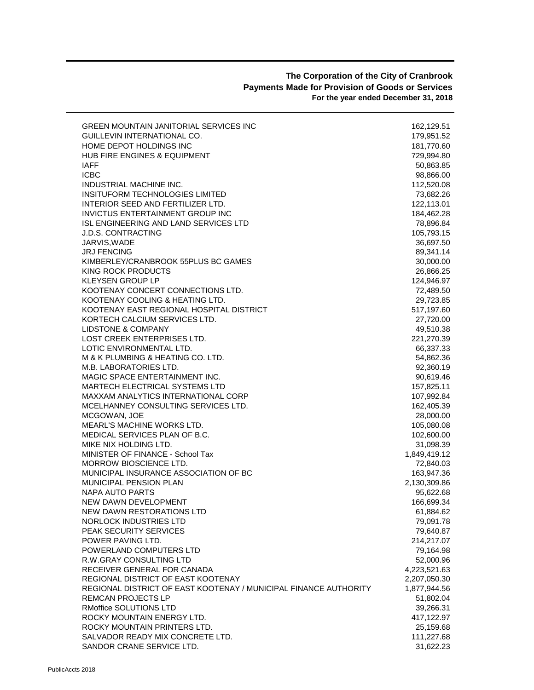#### **The Corporation of the City of Cranbrook Payments Made for Provision of Goods or Services For the year ended December 31, 2018**

| <b>GREEN MOUNTAIN JANITORIAL SERVICES INC</b>                    | 162,129.51   |
|------------------------------------------------------------------|--------------|
| GUILLEVIN INTERNATIONAL CO.                                      | 179,951.52   |
| HOME DEPOT HOLDINGS INC                                          | 181,770.60   |
| <b>HUB FIRE ENGINES &amp; EQUIPMENT</b>                          | 729,994.80   |
| <b>IAFF</b>                                                      | 50,863.85    |
| <b>ICBC</b>                                                      | 98,866.00    |
| INDUSTRIAL MACHINE INC.                                          | 112,520.08   |
| INSITUFORM TECHNOLOGIES LIMITED                                  | 73,682.26    |
| INTERIOR SEED AND FERTILIZER LTD.                                | 122,113.01   |
| INVICTUS ENTERTAINMENT GROUP INC                                 | 184,462.28   |
| ISL ENGINEERING AND LAND SERVICES LTD                            | 78,896.84    |
| <b>J.D.S. CONTRACTING</b>                                        | 105,793.15   |
| JARVIS.WADE                                                      | 36,697.50    |
| <b>JRJ FENCING</b>                                               | 89,341.14    |
| KIMBERLEY/CRANBROOK 55PLUS BC GAMES                              | 30,000.00    |
| KING ROCK PRODUCTS                                               | 26,866.25    |
| KLEYSEN GROUP LP                                                 | 124,946.97   |
| KOOTENAY CONCERT CONNECTIONS LTD.                                | 72,489.50    |
| KOOTENAY COOLING & HEATING LTD.                                  | 29,723.85    |
| KOOTENAY EAST REGIONAL HOSPITAL DISTRICT                         | 517,197.60   |
| KORTECH CALCIUM SERVICES LTD.                                    | 27,720.00    |
| <b>LIDSTONE &amp; COMPANY</b>                                    | 49,510.38    |
| LOST CREEK ENTERPRISES LTD.                                      | 221,270.39   |
| LOTIC ENVIRONMENTAL LTD.                                         | 66,337.33    |
| M & K PLUMBING & HEATING CO. LTD.                                | 54,862.36    |
| M.B. LABORATORIES LTD.                                           | 92,360.19    |
| MAGIC SPACE ENTERTAINMENT INC.                                   | 90,619.46    |
| <b>MARTECH ELECTRICAL SYSTEMS LTD</b>                            | 157,825.11   |
| <b>MAXXAM ANALYTICS INTERNATIONAL CORP</b>                       | 107,992.84   |
| MCELHANNEY CONSULTING SERVICES LTD.                              | 162,405.39   |
| MCGOWAN, JOE                                                     | 28,000.00    |
| MEARL'S MACHINE WORKS LTD.                                       | 105,080.08   |
| MEDICAL SERVICES PLAN OF B.C.                                    | 102,600.00   |
| MIKE NIX HOLDING LTD.                                            | 31,098.39    |
| MINISTER OF FINANCE - School Tax                                 | 1,849,419.12 |
| MORROW BIOSCIENCE LTD.                                           | 72,840.03    |
| MUNICIPAL INSURANCE ASSOCIATION OF BC                            | 163,947.36   |
| <b>MUNICIPAL PENSION PLAN</b>                                    | 2,130,309.86 |
| <b>NAPA AUTO PARTS</b>                                           | 95,622.68    |
| NEW DAWN DEVELOPMENT                                             | 166,699.34   |
| NEW DAWN RESTORATIONS LTD                                        | 61,884.62    |
| NORLOCK INDUSTRIES LTD                                           | 79,091.78    |
| PEAK SECURITY SERVICES                                           | 79,640.87    |
| POWER PAVING LTD.                                                | 214,217.07   |
| POWERLAND COMPUTERS LTD                                          | 79,164.98    |
| <b>R.W.GRAY CONSULTING LTD</b>                                   | 52,000.96    |
| RECEIVER GENERAL FOR CANADA                                      | 4,223,521.63 |
| REGIONAL DISTRICT OF EAST KOOTENAY                               | 2,207,050.30 |
| REGIONAL DISTRICT OF EAST KOOTENAY / MUNICIPAL FINANCE AUTHORITY | 1,877,944.56 |
| REMCAN PROJECTS LP                                               | 51,802.04    |
| RMoffice SOLUTIONS LTD                                           | 39,266.31    |
| ROCKY MOUNTAIN ENERGY LTD.                                       | 417,122.97   |
| ROCKY MOUNTAIN PRINTERS LTD.                                     | 25,159.68    |
| SALVADOR READY MIX CONCRETE LTD.                                 | 111,227.68   |
| SANDOR CRANE SERVICE LTD.                                        | 31,622.23    |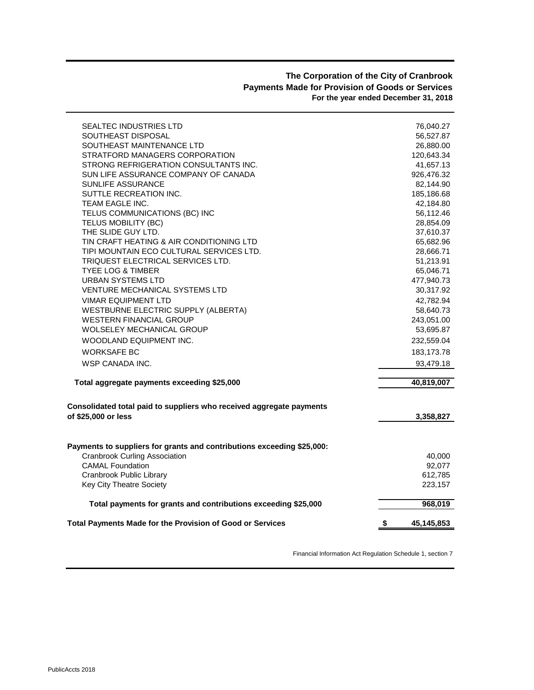# **The Corporation of the City of Cranbrook Payments Made for Provision of Goods or Services For the year ended December 31, 2018**

| SEALTEC INDUSTRIES LTD                                                 | 76,040.27        |
|------------------------------------------------------------------------|------------------|
| SOUTHEAST DISPOSAL                                                     | 56,527.87        |
| SOUTHEAST MAINTENANCE LTD                                              | 26,880.00        |
| STRATFORD MANAGERS CORPORATION                                         | 120,643.34       |
| STRONG REFRIGERATION CONSULTANTS INC.                                  | 41,657.13        |
| SUN LIFE ASSURANCE COMPANY OF CANADA                                   | 926,476.32       |
| <b>SUNLIFE ASSURANCE</b>                                               | 82,144.90        |
| SUTTLE RECREATION INC.                                                 | 185,186.68       |
| <b>TEAM EAGLE INC.</b>                                                 | 42,184.80        |
| TELUS COMMUNICATIONS (BC) INC                                          | 56,112.46        |
| TELUS MOBILITY (BC)                                                    | 28,854.09        |
| THE SLIDE GUY LTD.                                                     | 37,610.37        |
| TIN CRAFT HEATING & AIR CONDITIONING LTD                               | 65,682.96        |
| TIPI MOUNTAIN ECO CULTURAL SERVICES LTD.                               | 28,666.71        |
| TRIQUEST ELECTRICAL SERVICES LTD.                                      | 51,213.91        |
| <b>TYEE LOG &amp; TIMBER</b>                                           | 65,046.71        |
| URBAN SYSTEMS LTD                                                      | 477,940.73       |
| <b>VENTURE MECHANICAL SYSTEMS LTD</b>                                  | 30,317.92        |
| <b>VIMAR EQUIPMENT LTD</b>                                             | 42,782.94        |
| WESTBURNE ELECTRIC SUPPLY (ALBERTA)                                    | 58,640.73        |
| <b>WESTERN FINANCIAL GROUP</b>                                         | 243,051.00       |
| <b>WOLSELEY MECHANICAL GROUP</b>                                       | 53,695.87        |
| WOODLAND EQUIPMENT INC.                                                | 232,559.04       |
| <b>WORKSAFE BC</b>                                                     | 183, 173. 78     |
| WSP CANADA INC.                                                        | 93,479.18        |
| Total aggregate payments exceeding \$25,000                            | 40,819,007       |
| Consolidated total paid to suppliers who received aggregate payments   |                  |
| of \$25,000 or less                                                    | 3,358,827        |
|                                                                        |                  |
| Payments to suppliers for grants and contributions exceeding \$25,000: |                  |
| <b>Cranbrook Curling Association</b>                                   | 40,000           |
| <b>CAMAL Foundation</b>                                                | 92,077           |
| Cranbrook Public Library                                               | 612,785          |
| Key City Theatre Society                                               | 223,157          |
| Total payments for grants and contributions exceeding \$25,000         | 968,019          |
| Total Payments Made for the Provision of Good or Services              | \$<br>45,145,853 |

Financial Information Act Regulation Schedule 1, section 7